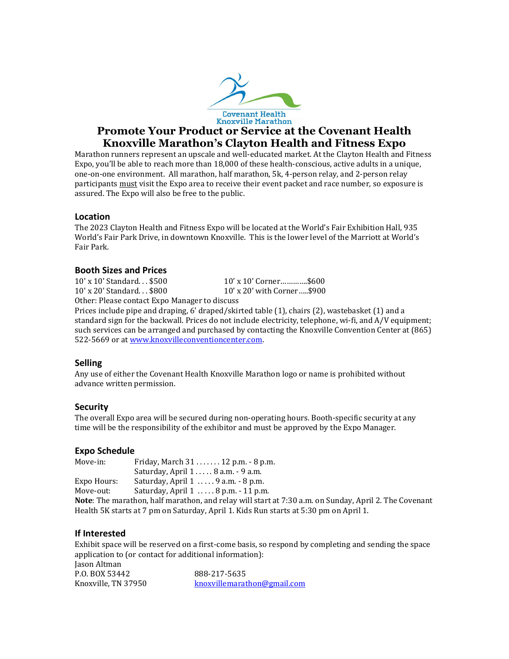

# **Promote Your Product or Service at the Covenant Health Knoxville Marathon's Clayton Health and Fitness Expo**

Marathon runners represent an upscale and well-educated market. At the Clayton Health and Fitness Expo, you'll be able to reach more than 18,000 of these health-conscious, active adults in a unique, one-on-one environment. All marathon, half marathon, 5k, 4-person relay, and 2-person relay participants must visit the Expo area to receive their event packet and race number, so exposure is assured. The Expo will also be free to the public.

### **Location**

The 2023 Clayton Health and Fitness Expo will be located at the World's Fair Exhibition Hall, 935 World's Fair Park Drive, in downtown Knoxville. This is the lower level of the Marriott at World's Fair Park.

### **Booth Sizes and Prices**

10' x 10' Standard. . . \$500 10' x 10' Corner………….\$600 10' x 20' Standard. . . \$800 10' x 20' with Corner…..\$900 Other: Please contact Expo Manager to discuss

Prices include pipe and draping, 6' draped/skirted table (1), chairs (2), wastebasket (1) and a standard sign for the backwall. Prices do not include electricity, telephone, wi-fi, and A/V equipment; such services can be arranged and purchased by contacting the Knoxville Convention Center at (865) 522-5669 or a[t www.knoxvilleconventioncenter.com.](http://www.knoxvilleconventioncenter.com/)

### **Selling**

Any use of either the Covenant Health Knoxville Marathon logo or name is prohibited without advance written permission.

## **Security**

The overall Expo area will be secured during non-operating hours. Booth-specific security at any time will be the responsibility of the exhibitor and must be approved by the Expo Manager.

### **Expo Schedule**

| Move-in:    | Friday, March 31 12 p.m. - 8 p.m.                          |  |
|-------------|------------------------------------------------------------|--|
|             | Saturday, April 1 8 a.m. - 9 a.m.                          |  |
| Expo Hours: | Saturday, April 1  9 a.m. - 8 p.m.                         |  |
| Move-out:   | Saturday, April 1  . 8 p.m. - 11 p.m.                      |  |
|             | Make The means them built means them and metamorally stand |  |

**Note**: The marathon, half marathon, and relay will start at 7:30 a.m. on Sunday, April 2. The Covenant Health 5K starts at 7 pm on Saturday, April 1. Kids Run starts at 5:30 pm on April 1.

## **If Interested**

Exhibit space will be reserved on a first-come basis, so respond by completing and sending the space application to (or contact for additional information): Jason Altman P.O. BOX 53442 888-217-5635 Knoxville, TN 37950 [knoxvillemarathon@gmail.com](mailto:knoxvillemarathon@gmail.com)